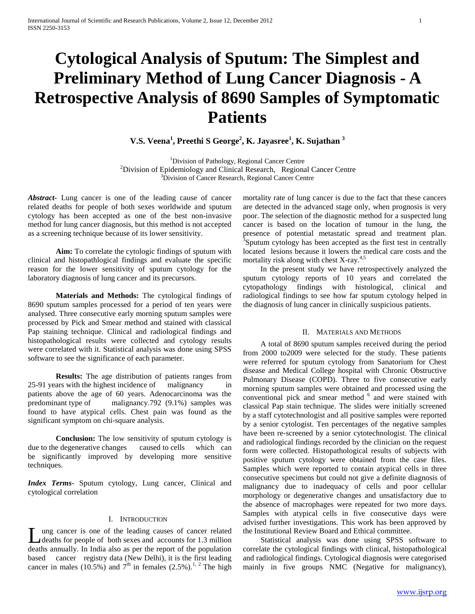# **Cytological Analysis of Sputum: The Simplest and Preliminary Method of Lung Cancer Diagnosis - A Retrospective Analysis of 8690 Samples of Symptomatic Patients**

**V.S. Veena<sup>1</sup> , Preethi S George<sup>2</sup> , K. Jayasree<sup>1</sup> , K. Sujathan <sup>3</sup>**

<sup>1</sup>Division of Pathology, Regional Cancer Centre  $2$ Division of Epidemiology and Clinical Research, Regional Cancer Centre <sup>3</sup>Division of Cancer Research, Regional Cancer Centre

*Abstract***-** Lung cancer is one of the leading cause of cancer related deaths for people of both sexes worldwide and sputum cytology has been accepted as one of the best non-invasive method for lung cancer diagnosis, but this method is not accepted as a screening technique because of its lower sensitivity.

**Aim:** To correlate the cytologic findings of sputum with clinical and histopathlogical findings and evaluate the specific reason for the lower sensitivity of sputum cytology for the laboratory diagnosis of lung cancer and its precursors.

**Materials and Methods:** The cytological findings of 8690 sputum samples processed for a period of ten years were analysed. Three consecutive early morning sputum samples were processed by Pick and Smear method and stained with classical Pap staining technique. Clinical and radiological findings and histopathological results were collected and cytology results were correlated with it. Statistical analysis was done using SPSS software to see the significance of each parameter.

**Results:** The age distribution of patients ranges from 25-91 years with the highest incidence of malignancy patients above the age of 60 years. Adenocarcinoma was the predominant type of malignancy.792 (9.1%) samples was found to have atypical cells. Chest pain was found as the significant symptom on chi-square analysis.

**Conclusion:** The low sensitivity of sputum cytology is due to the degenerative changes caused to cells which can be significantly improved by developing more sensitive techniques.

*Index Terms*- Sputum cytology, Lung cancer, Clinical and cytological correlation

# I. INTRODUCTION

ung cancer is one of the leading causes of cancer related deaths for people of both sexes and accounts for 1.3 million Lung cancer is one of the leading causes of cancer related deaths for people of both sexes and accounts for 1.3 million deaths annually. In India also as per the report of the population based cancer registry data (New Delhi), it is the first leading cancer in males (10.5%) and  $7<sup>th</sup>$  in females (2.5%).<sup>1, 2</sup> The high mortality rate of lung cancer is due to the fact that these cancers are detected in the advanced stage only, when prognosis is very poor. The selection of the diagnostic method for a suspected lung cancer is based on the location of tumour in the lung, the presence of potential metastatic spread and treatment plan. <sup>3</sup>Sputum cytology has been accepted as the first test in centrally located lesions because it lowers the medical care costs and the mortality risk along with chest  $X-ray$ .<sup>4,5</sup>

 In the present study we have retrospectively analyzed the sputum cytology reports of 10 years and correlated the cytopathology findings with histological, clinical and radiological findings to see how far sputum cytology helped in the diagnosis of lung cancer in clinically suspicious patients.

# II. MATERIALS AND METHODS

 A total of 8690 sputum samples received during the period from 2000 to2009 were selected for the study. These patients were referred for sputum cytology from Sanatorium for Chest disease and Medical College hospital with Chronic Obstructive Pulmonary Disease (COPD). Three to five consecutive early morning sputum samples were obtained and processed using the conventional pick and smear method <sup>6</sup> and were stained with classical Pap stain technique. The slides were initially screened by a staff cytotechnologist and all positive samples were reported by a senior cytologist. Ten percentages of the negative samples have been re-screened by a senior cytotechnologist. The clinical and radiological findings recorded by the clinician on the request form were collected. Histopathological results of subjects with positive sputum cytology were obtained from the case files. Samples which were reported to contain atypical cells in three consecutive specimens but could not give a definite diagnosis of malignancy due to inadequacy of cells and poor cellular morphology or degenerative changes and unsatisfactory due to the absence of macrophages were repeated for two more days. Samples with atypical cells in five consecutive days were advised further investigations. This work has been approved by the Institutional Review Board and Ethical committee.

 Statistical analysis was done using SPSS software to correlate the cytological findings with clinical, histopathological and radiological findings. Cytological diagnosis were categorised mainly in five groups NMC (Negative for malignancy),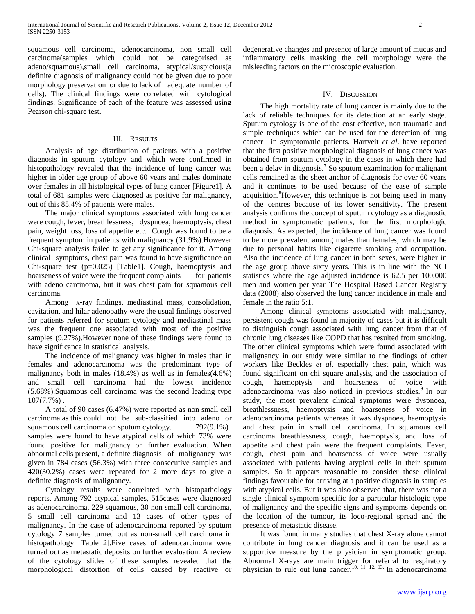squamous cell carcinoma, adenocarcinoma, non small cell carcinoma(samples which could not be categorised as adeno/squamous),small cell carcinoma, atypical/suspicious(a definite diagnosis of malignancy could not be given due to poor morphology preservation or due to lack of adequate number of cells). The clinical findings were correlated with cytological findings. Significance of each of the feature was assessed using Pearson chi-square test.

### III. RESULTS

 Analysis of age distribution of patients with a positive diagnosis in sputum cytology and which were confirmed in histopathology revealed that the incidence of lung cancer was higher in older age group of above 60 years and males dominate over females in all histological types of lung cancer [Figure1]. A total of 681 samples were diagnosed as positive for malignancy, out of this 85.4% of patients were males.

 The major clinical symptoms associated with lung cancer were cough, fever, breathlessness, dyspnoea, haemoptysis, chest pain, weight loss, loss of appetite etc. Cough was found to be a frequent symptom in patients with malignancy (31.9%).However Chi-square analysis failed to get any significance for it. Among clinical symptoms, chest pain was found to have significance on Chi-square test (p=0.025) [Table1]. Cough, haemoptysis and hoarseness of voice were the frequent complaints for patients with adeno carcinoma, but it was chest pain for squamous cell carcinoma.

 Among x-ray findings, mediastinal mass, consolidation, cavitation, and hilar adenopathy were the usual findings observed for patients referred for sputum cytology and mediastinal mass was the frequent one associated with most of the positive samples (9.27%).However none of these findings were found to have significance in statistical analysis.

 The incidence of malignancy was higher in males than in females and adenocarcinoma was the predominant type of malignancy both in males (18.4%) as well as in females(4.6%) and small cell carcinoma had the lowest incidence (5.68%).Squamous cell carcinoma was the second leading type 107(7.7%) .

 A total of 90 cases (6.47%) were reported as non small cell carcinoma as this could not be sub-classified into adeno or squamous cell carcinoma on sputum cytology.  $792(9.1\%)$ samples were found to have atypical cells of which 73% were found positive for malignancy on further evaluation. When abnormal cells present, a definite diagnosis of malignancy was given in 784 cases (56.3%) with three consecutive samples and 420(30.2%) cases were repeated for 2 more days to give a definite diagnosis of malignancy.

 Cytology results were correlated with histopathology reports. Among 792 atypical samples, 515cases were diagnosed as adenocarcinoma, 229 squamous, 30 non small cell carcinoma, 5 small cell carcinoma and 13 cases of other types of malignancy. In the case of adenocarcinoma reported by sputum cytology 7 samples turned out as non-small cell carcinoma in histopathology [Table 2].Five cases of adenocarcinoma were turned out as metastatic deposits on further evaluation. A review of the cytology slides of these samples revealed that the morphological distortion of cells caused by reactive or

degenerative changes and presence of large amount of mucus and inflammatory cells masking the cell morphology were the misleading factors on the microscopic evaluation.

# IV. DISCUSSION

 The high mortality rate of lung cancer is mainly due to the lack of reliable techniques for its detection at an early stage. Sputum cytology is one of the cost effective, non traumatic and simple techniques which can be used for the detection of lung cancer in symptomatic patients. Hartveit *et al*. have reported that the first positive morphological diagnosis of lung cancer was obtained from sputum cytology in the cases in which there had been a delay in diagnosis.<sup>7</sup> So sputum examination for malignant cells remained as the sheet anchor of diagnosis for over 60 years and it continues to be used because of the ease of sample acquisition.<sup>8</sup>However, this technique is not being used in many of the centres because of its lower sensitivity. The present analysis confirms the concept of sputum cytology as a diagnostic method in symptomatic patients, for the first morphologic diagnosis. As expected, the incidence of lung cancer was found to be more prevalent among males than females, which may be due to personal habits like cigarette smoking and occupation. Also the incidence of lung cancer in both sexes, were higher in the age group above sixty years. This is in line with the NCI statistics where the age adjusted incidence is 62.5 per 100,000 men and women per year. The Hospital Based Cancer Registry data (2008) also observed the lung cancer incidence in male and female in the ratio 5:1.

 Among clinical symptoms associated with malignancy, persistent cough was found in majority of cases but it is difficult to distinguish cough associated with lung cancer from that of chronic lung diseases like COPD that has resulted from smoking. The other clinical symptoms which were found associated with malignancy in our study were similar to the findings of other workers like Beckles *et al*. especially chest pain, which was found significant on chi square analysis, and the association of cough, haemoptysis and hoarseness of voice with adenocarcinoma was also noticed in previous studies.<sup>9</sup> In our study, the most prevalent clinical symptoms were dyspnoea, breathlessness, haemoptysis and hoarseness of voice in adenocarcinoma patients whereas it was dyspnoea, haemoptysis and chest pain in small cell carcinoma. In squamous cell carcinoma breathlessness, cough, haemoptysis, and loss of appetite and chest pain were the frequent complaints. Fever, cough, chest pain and hoarseness of voice were usually associated with patients having atypical cells in their sputum samples. So it appears reasonable to consider these clinical findings favourable for arriving at a positive diagnosis in samples with atypical cells. But it was also observed that, there was not a single clinical symptom specific for a particular histologic type of malignancy and the specific signs and symptoms depends on the location of the tumour, its loco-regional spread and the presence of metastatic disease.

 It was found in many studies that chest X-ray alone cannot contribute in lung cancer diagnosis and it can be used as a supportive measure by the physician in symptomatic group. Abnormal X-rays are main trigger for referral to respiratory physician to rule out lung cancer.<sup>10, 11, 12, 13.</sup> In adenocarcinoma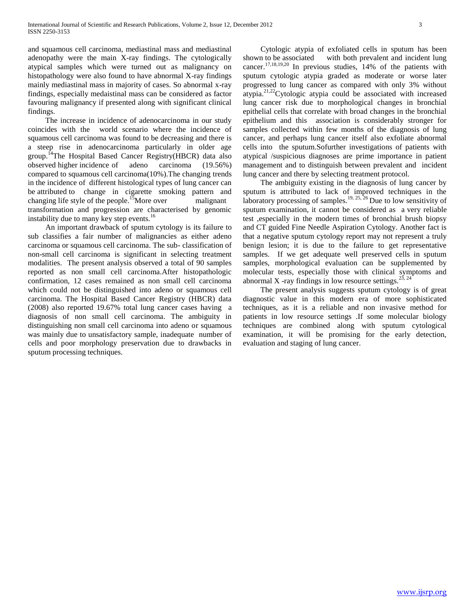and squamous cell carcinoma, mediastinal mass and mediastinal adenopathy were the main X-ray findings. The cytologically atypical samples which were turned out as malignancy on histopathology were also found to have abnormal X-ray findings mainly mediastinal mass in majority of cases. So abnormal x-ray findings, especially medaistinal mass can be considered as factor favouring malignancy if presented along with significant clinical findings.

 The increase in incidence of adenocarcinoma in our study coincides with the world scenario where the incidence of squamous cell carcinoma was found to be decreasing and there is a steep rise in adenocarcinoma particularly in older age group.<sup>14</sup>The Hospital Based Cancer Registry(HBCR) data also observed higher incidence of adeno carcinoma (19.56%) compared to squamous cell carcinoma(10%).The changing trends in the incidence of different histological types of lung cancer can be attributed to change in cigarette smoking pattern and changing life style of the people.<sup>15</sup>More over malignant transformation and progression are characterised by genomic instability due to many key step events.<sup>16</sup>

 An important drawback of sputum cytology is its failure to sub classifies a fair number of malignancies as either adeno carcinoma or squamous cell carcinoma. The sub- classification of non-small cell carcinoma is significant in selecting treatment modalities. The present analysis observed a total of 90 samples reported as non small cell carcinoma.After histopathologic confirmation, 12 cases remained as non small cell carcinoma which could not be distinguished into adeno or squamous cell carcinoma. The Hospital Based Cancer Registry (HBCR) data (2008) also reported 19.67% total lung cancer cases having a diagnosis of non small cell carcinoma. The ambiguity in distinguishing non small cell carcinoma into adeno or squamous was mainly due to unsatisfactory sample, inadequate number of cells and poor morphology preservation due to drawbacks in sputum processing techniques.

 Cytologic atypia of exfoliated cells in sputum has been shown to be associated with both prevalent and incident lung cancer.17,18,19,20 In previous studies, 14% of the patients with sputum cytologic atypia graded as moderate or worse later progressed to lung cancer as compared with only 3% without atypia.21,22Cytologic atypia could be associated with increased lung cancer risk due to morphological changes in bronchial epithelial cells that correlate with broad changes in the bronchial epithelium and this association is considerably stronger for samples collected within few months of the diagnosis of lung cancer, and perhaps lung cancer itself also exfoliate abnormal cells into the sputum.Sofurther investigations of patients with atypical /suspicious diagnoses are prime importance in patient management and to distinguish between prevalent and incident lung cancer and there by selecting treatment protocol.

 The ambiguity existing in the diagnosis of lung cancer by sputum is attributed to lack of improved techniques in the laboratory processing of samples.<sup>19, 25, 26</sup> Due to low sensitivity of sputum examination, it cannot be considered as a very reliable test ,especially in the modern times of bronchial brush biopsy and CT guided Fine Needle Aspiration Cytology. Another fact is that a negative sputum cytology report may not represent a truly benign lesion; it is due to the failure to get representative samples. If we get adequate well preserved cells in sputum samples, morphological evaluation can be supplemented by molecular tests, especially those with clinical symptoms and abnormal X -ray findings in low resource settings.<sup>23, 24</sup>

 The present analysis suggests sputum cytology is of great diagnostic value in this modern era of more sophisticated techniques, as it is a reliable and non invasive method for patients in low resource settings .If some molecular biology techniques are combined along with sputum cytological examination, it will be promising for the early detection, evaluation and staging of lung cancer.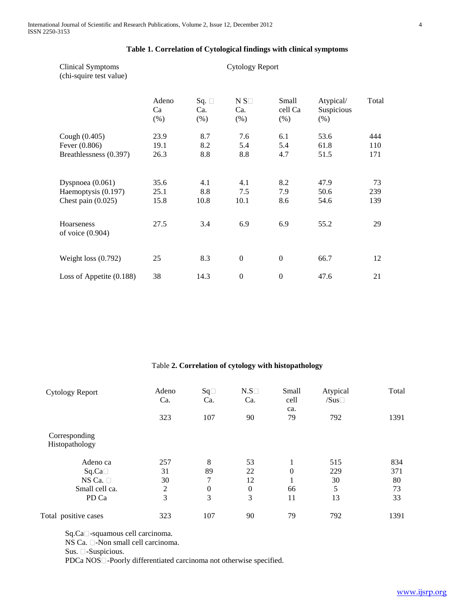| Clinical Symptoms<br>(chi-squire test value)                    | <b>Cytology Report</b> |                              |                                |                            |                                 |                  |  |  |
|-----------------------------------------------------------------|------------------------|------------------------------|--------------------------------|----------------------------|---------------------------------|------------------|--|--|
|                                                                 | Adeno<br>Ca<br>$(\% )$ | Sq. $\Box$<br>Ca.<br>$(\% )$ | $N S\square$<br>Ca.<br>$(\% )$ | Small<br>cell Ca<br>$(\%)$ | Atypical/<br>Suspicious<br>(% ) | Total            |  |  |
| Cough (0.405)                                                   | 23.9                   | 8.7                          | 7.6                            | 6.1                        | 53.6                            | 444              |  |  |
| Fever (0.806)                                                   | 19.1                   | 8.2                          | 5.4                            | 5.4                        | 61.8                            | 110              |  |  |
| Breathlessness (0.397)                                          | 26.3                   | 8.8                          | 8.8                            | 4.7                        | 51.5                            | 171              |  |  |
| Dyspnoea (0.061)<br>Haemoptysis (0.197)<br>Chest pain $(0.025)$ | 35.6<br>25.1<br>15.8   | 4.1<br>8.8<br>10.8           | 4.1<br>7.5<br>10.1             | 8.2<br>7.9<br>8.6          | 47.9<br>50.6<br>54.6            | 73<br>239<br>139 |  |  |
| <b>Hoarseness</b><br>of voice (0.904)                           | 27.5                   | 3.4                          | 6.9                            | 6.9                        | 55.2                            | 29               |  |  |
| Weight loss $(0.792)$                                           | 25                     | 8.3                          | $\Omega$                       | $\boldsymbol{0}$           | 66.7                            | 12               |  |  |
| Loss of Appetite $(0.188)$                                      | 38                     | 14.3                         | $\boldsymbol{0}$               | $\boldsymbol{0}$           | 47.6                            | 21               |  |  |

# **Table 1. Correlation of Cytological findings with clinical symptoms**

# Table **2. Correlation of cytology with histopathology**

| <b>Cytology Report</b>          | Adeno<br>Ca.   | $Sq\Box$<br>Ca.  | N.S<br>Ca.   | Small<br>cell | Atypical<br>/Sus | Total |
|---------------------------------|----------------|------------------|--------------|---------------|------------------|-------|
|                                 | 323            | 107              | 90           | ca.<br>79     | 792              | 1391  |
| Corresponding<br>Histopathology |                |                  |              |               |                  |       |
| Adeno ca                        | 257            | 8                | 53           |               | 515              | 834   |
| Sq.Ca                           | 31             | 89               | 22           | $\Omega$      | 229              | 371   |
| NS Ca. $\square$                | 30             | 7                | 12           | л.            | 30               | 80    |
| Small cell ca.                  | $\overline{2}$ | $\boldsymbol{0}$ | $\mathbf{0}$ | 66            | 5                | 73    |
| PD Ca                           | 3              | 3                | 3            | 11            | 13               | 33    |
| Total positive cases            | 323            | 107              | 90           | 79            | 792              | 1391  |

Sq.Ca<sup> $\Box$ </sup>-squamous cell carcinoma.

NS Ca.  $\Box$ -Non small cell carcinoma.

Sus.  $\Box$ -Suspicious.

PDCa NOS<sup> $\Box$ </sup>-Poorly differentiated carcinoma not otherwise specified.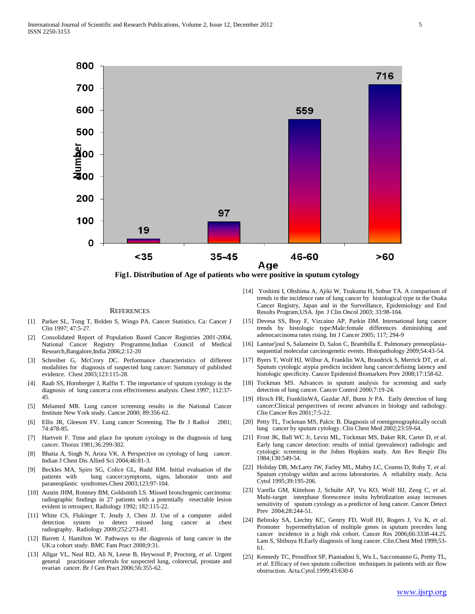

**Fig1. Distribution of Age of patients who were positive in sputum cytology**

#### **REFERENCES**

- [1] Parker SL, Tong T, Bolden S, Wingo PA. Cancer Statistics. Ca: Cancer J Clin 1997; 47:5-27.
- [2] Consolidated Report of Population Based Cancer Registries 2001-2004, National Cancer Registry Programme,Indian Council of Medical Research,Bangalore,India 2006;2:12-20
- [3] Schreiber G, McCrory DC. Performance characteristics of different modalities for diagnosis of suspected lung cancer: Summary of published evidence. Chest 2003;123:115-28.
- [4] Raab SS, Hornberger J, Raffin T. The importance of sputum cytology in the diagnosis of lung cancer:a cost effectiveness analysis. Chest 1997; 112:37- 45.
- [5] Melamed MR. Lung cancer screening results in the National Cancer Institute New York study. Cancer 2000; 89:356-62.
- [6] Ellis JR, Gleeson FV. Lung cancer Screening. The Br J Radiol 2001; 74:478-85.
- [7] Hartveit F. Time and place for sputum cytology in the diagnosis of lung cancer. Thorax 1981;36:299-302.
- Bhatia A, Singh N, Arora VK. A Perspective on cytology of lung cancer. Indian J Chest Dis Allied Sci 2004;46:81-3.
- [9] Beckles MA, Spiro SG, Colice GL, Rudd RM. Initial evaluation of the lung cancer:symptoms, signs, laborator tests and paraneoplastic syndromes.Chest 2003;123:97-104.
- [10] Austin JHM, Romney BM, Goldsmith LS. Missed bronchogenic carcinoma: radiographic findings in 27 patients with a potentially resectable lesion evident in retrospect. Radiology 1992; 182:115-22.
- [11] White CS, Flukinger T, Jeudy J, Chen JJ. Use of a computer aided detection system to detect missed lung cancer at chest radiography. Radiology 2009;252:273-81.
- [12] Barrett J, Hamilton W. Pathways to the diagnosis of lung cancer in the UK:a cohort study. BMC Fam Pract 2008;9:31.
- [13] Allgar VL, Neal RD, Ali N, Leese B, Heywood P, Proctorg, *et al*. Urgent general practitioner referrals for suspected lung, colorectal, prostate and ovarian cancer. Br J Gen Pract 2006;56:355-62.
- [14] Yoshimi I, Ohshima A, Ajiki W, Tsukuma H, Sobue TA. A comparison of trends in the incidence rate of lung cancer by histological type in the Osaka Cancer Registry, Japan and in the Surveillance, Epidemiology and End Results Program,USA. Jpn J Clin Oncol 2003; 33:98-104.
- [15] Devesa SS, Bray F, Vizcaino AP, Parkin DM. International lung cancer trends by histologic type:Male:female differences diminishing and adenocarcinoma rates rising. Int J Cancer 2005; 117; 294-9
- [16] Lantue'joul S, Salameire D, Salon C, Brambilla E. Pulmonary preneoplasiasequential molecular carcinogenetic events. Histopathology 2009;54:43-54.
- [17] Byers T, Wolf HJ, Wilbur A, Franklin WA, Braudrick S, Merrick DT, *et al*. Sputum cytologic atypia predicts incident lung cancer:defining latency and histologic specificity. Cancer Epidemiol Biomarkers Prev 2008;17:158-62.
- [18] Tockman MS. Advances in sputum analysis for screening and early detection of lung cancer. Cancer Control 2000;7:19-24.
- [19] Hirsch FR, FranklinWA, Gazdar AF, Bunn Jr PA. Early detection of lung cancer:Clinical perspectives of recent advances in biology and radiology. Clin Cancer Res 2001;7:5-22.
- [20] Petty TL, Tockman MS, Palcic B. Diagnosis of roentgenographically occult lung cancer by sputum cytology. Clin Chest Med 2002;23:59-64.
- [21] Frost JK, Ball WC Jr, Levin ML, Tockman MS, Baker RR, Carter D, *et al*. Early lung cancer detection: results of initial (prevalence) radiologic and cytologic screening in the Johns Hopkins study. Am Rev Respir Dis 1984;130:549-54.
- [22] Holiday DB, McLarty JW, Farley ML, Mabry LC, Cozens D, Roby T, *et al*. Sputum cytology within and across laboratories. A reliability study. Acta Cytol 1995;39:195-206.
- [23] Varella GM, Kittelson J, Schulte AP, Vu KO, Wolf HJ, Zeng C, *et al*. Multi-target interphase florescence insitu hybridization assay increases sensitivity of sputum cytology as a predictor of lung cancer. Cancer Detect Prev 2004;28:244-51.
- [24] Belinsky SA, Liechty KC, Gentry FD, Wolf HJ, Rogers J, Vu K, *et al*. Promoter hypermethylation of multiple genes in sputum precedes lung cancer incidence in a high risk cohort. Cancer Res 2006;66:3338-44.25. Lam S, Shibuya H.Early diagnosis of lung cancer. Clin.Chest Med 1999;53- 61.
- [25] Kennedy TC, Proudfoot SP, Piantadosi S, Wu L, Saccomanno G, Pretty TL, *et al*. Efficacy of two sputum collection techniques in patients with air flow obstruction. Acta.Cytol.1999;43:630-6